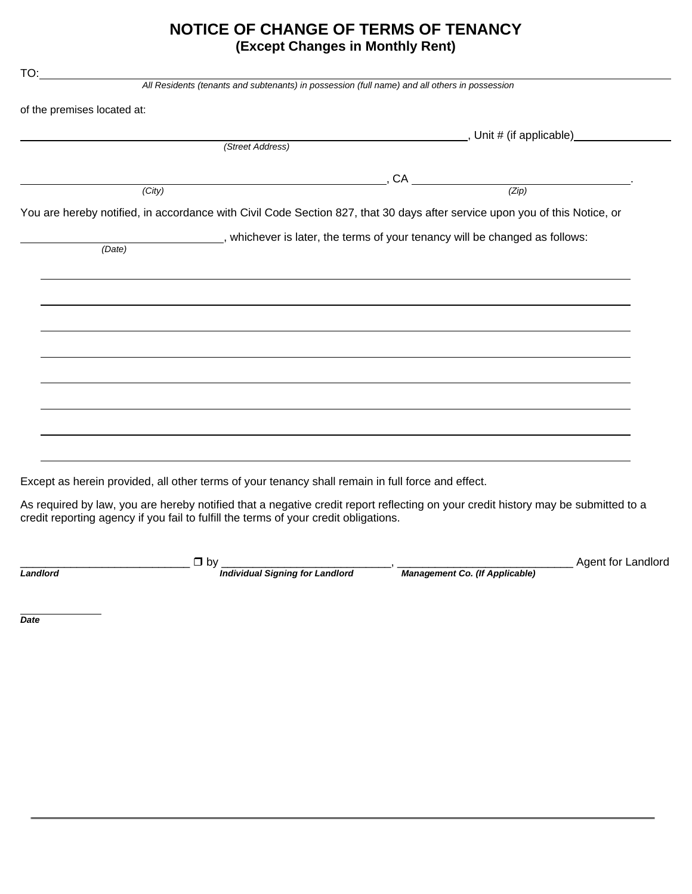## NOTICE OF CHANGE OF TERMS OF TENANCY (Except Changes in Monthly Rent)

| of the premises located at: |                                                                                                                            |
|-----------------------------|----------------------------------------------------------------------------------------------------------------------------|
|                             |                                                                                                                            |
| (Street Address)            |                                                                                                                            |
|                             |                                                                                                                            |
| (City)                      | $\overline{C}$ , CA $\overline{(Zip)}$                                                                                     |
|                             | You are hereby notified, in accordance with Civil Code Section 827, that 30 days after service upon you of this Notice, or |
|                             |                                                                                                                            |
| $\overline{(\text{Date})}$  | , whichever is later, the terms of your tenancy will be changed as follows:                                                |
|                             |                                                                                                                            |
|                             | ,我们也不会有什么。""我们的人,我们也不会有什么?""我们的人,我们也不会有什么?""我们的人,我们也不会有什么?""我们的人,我们也不会有什么?""我们的人                                           |
|                             |                                                                                                                            |
|                             |                                                                                                                            |
|                             |                                                                                                                            |
|                             |                                                                                                                            |
|                             |                                                                                                                            |
|                             | ,我们也不会有什么。""我们的人,我们也不会有什么?""我们的人,我们也不会有什么?""我们的人,我们也不会有什么?""我们的人,我们也不会有什么?""我们的人                                           |
|                             |                                                                                                                            |
|                             |                                                                                                                            |
|                             |                                                                                                                            |
|                             |                                                                                                                            |
|                             |                                                                                                                            |
|                             |                                                                                                                            |
|                             |                                                                                                                            |
|                             |                                                                                                                            |
|                             |                                                                                                                            |
|                             | <u> 1989 - Andrea Barbara, Amerikaansk politiker (d. 1989)</u>                                                             |

Landlord

 $\Box$  by  $\frac{1}{\text{Individual Signing for Landlord}}$ 

Management Co. (If Applicable)

Agent for Landlord

**Date**